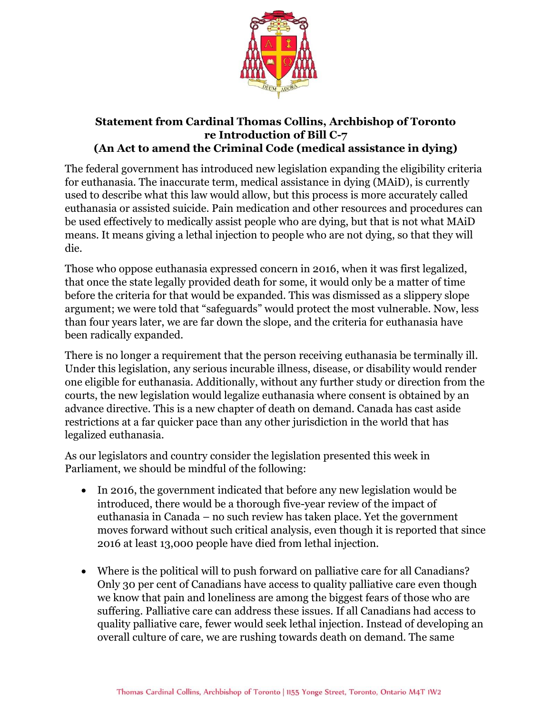

## **Statement from Cardinal Thomas Collins, Archbishop of Toronto re Introduction of Bill C-7 (An Act to amend the Criminal Code (medical assistance in dying)**

The federal government has introduced new legislation expanding the eligibility criteria for euthanasia. The inaccurate term, medical assistance in dying (MAiD), is currently used to describe what this law would allow, but this process is more accurately called euthanasia or assisted suicide. Pain medication and other resources and procedures can be used effectively to medically assist people who are dying, but that is not what MAiD means. It means giving a lethal injection to people who are not dying, so that they will die.

Those who oppose euthanasia expressed concern in 2016, when it was first legalized, that once the state legally provided death for some, it would only be a matter of time before the criteria for that would be expanded. This was dismissed as a slippery slope argument; we were told that "safeguards" would protect the most vulnerable. Now, less than four years later, we are far down the slope, and the criteria for euthanasia have been radically expanded.

There is no longer a requirement that the person receiving euthanasia be terminally ill. Under this legislation, any serious incurable illness, disease, or disability would render one eligible for euthanasia. Additionally, without any further study or direction from the courts, the new legislation would legalize euthanasia where consent is obtained by an advance directive. This is a new chapter of death on demand. Canada has cast aside restrictions at a far quicker pace than any other jurisdiction in the world that has legalized euthanasia.

As our legislators and country consider the legislation presented this week in Parliament, we should be mindful of the following:

- In 2016, the government indicated that before any new legislation would be introduced, there would be a thorough five-year review of the impact of euthanasia in Canada – no such review has taken place. Yet the government moves forward without such critical analysis, even though it is reported that since 2016 at least 13,000 people have died from lethal injection.
- Where is the political will to push forward on palliative care for all Canadians? Only 30 per cent of Canadians have access to quality palliative care even though we know that pain and loneliness are among the biggest fears of those who are suffering. Palliative care can address these issues. If all Canadians had access to quality palliative care, fewer would seek lethal injection. Instead of developing an overall culture of care, we are rushing towards death on demand. The same